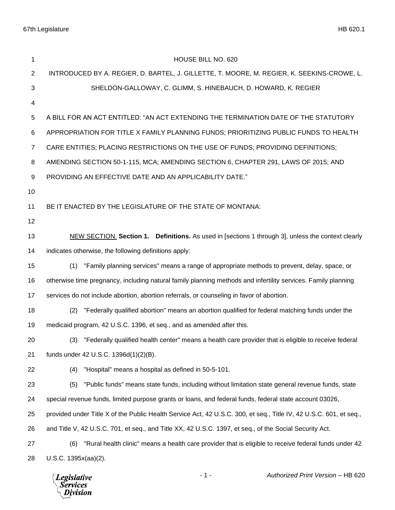| 1              | HOUSE BILL NO. 620                                                                                                 |
|----------------|--------------------------------------------------------------------------------------------------------------------|
| $\overline{2}$ | INTRODUCED BY A. REGIER, D. BARTEL, J. GILLETTE, T. MOORE, M. REGIER, K. SEEKINS-CROWE, L.                         |
| 3              | SHELDON-GALLOWAY, C. GLIMM, S. HINEBAUCH, D. HOWARD, K. REGIER                                                     |
| 4              |                                                                                                                    |
| 5              | A BILL FOR AN ACT ENTITLED: "AN ACT EXTENDING THE TERMINATION DATE OF THE STATUTORY                                |
| 6              | APPROPRIATION FOR TITLE X FAMILY PLANNING FUNDS; PRIORITIZING PUBLIC FUNDS TO HEALTH                               |
| $\overline{7}$ | CARE ENTITIES; PLACING RESTRICTIONS ON THE USE OF FUNDS; PROVIDING DEFINITIONS;                                    |
| 8              | AMENDING SECTION 50-1-115, MCA; AMENDING SECTION 6, CHAPTER 291, LAWS OF 2015; AND                                 |
| 9              | PROVIDING AN EFFECTIVE DATE AND AN APPLICABILITY DATE."                                                            |
| 10             |                                                                                                                    |
| 11             | BE IT ENACTED BY THE LEGISLATURE OF THE STATE OF MONTANA:                                                          |
| 12             |                                                                                                                    |
| 13             | NEW SECTION. Section 1. Definitions. As used in [sections 1 through 3], unless the context clearly                 |
| 14             | indicates otherwise, the following definitions apply:                                                              |
| 15             | "Family planning services" means a range of appropriate methods to prevent, delay, space, or<br>(1)                |
| 16             | otherwise time pregnancy, including natural family planning methods and infertility services. Family planning      |
| 17             | services do not include abortion, abortion referrals, or counseling in favor of abortion.                          |
| 18             | "Federally qualified abortion" means an abortion qualified for federal matching funds under the<br>(2)             |
| 19             | medicaid program, 42 U.S.C. 1396, et seq., and as amended after this.                                              |
| 20             | (3) "Federally qualified health center" means a health care provider that is eligible to receive federal           |
| 21             | funds under 42 U.S.C. 1396d(1)(2)(B).                                                                              |
| 22             | "Hospital" means a hospital as defined in 50-5-101.<br>(4)                                                         |
| 23             | "Public funds" means state funds, including without limitation state general revenue funds, state<br>(5)           |
| 24             | special revenue funds, limited purpose grants or loans, and federal funds, federal state account 03026,            |
| 25             | provided under Title X of the Public Health Service Act, 42 U.S.C. 300, et seq., Title IV, 42 U.S.C. 601, et seq., |
| 26             | and Title V, 42 U.S.C. 701, et seq., and Title XX, 42 U.S.C. 1397, et seq., of the Social Security Act.            |
| 27             | "Rural health clinic" means a health care provider that is eligible to receive federal funds under 42<br>(6)       |
| 28             | U.S.C. 1395x(aa)(2).                                                                                               |
|                |                                                                                                                    |

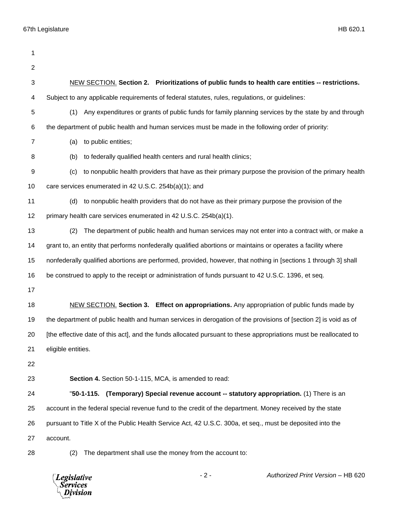| 1                       |                                                                                                                   |
|-------------------------|-------------------------------------------------------------------------------------------------------------------|
| $\overline{2}$          |                                                                                                                   |
| 3                       | NEW SECTION. Section 2. Prioritizations of public funds to health care entities -- restrictions.                  |
| $\overline{\mathbf{4}}$ | Subject to any applicable requirements of federal statutes, rules, regulations, or guidelines:                    |
| 5                       | Any expenditures or grants of public funds for family planning services by the state by and through<br>(1)        |
| 6                       | the department of public health and human services must be made in the following order of priority:               |
| $\overline{7}$          | to public entities;<br>(a)                                                                                        |
| 8                       | to federally qualified health centers and rural health clinics;<br>(b)                                            |
| 9                       | to nonpublic health providers that have as their primary purpose the provision of the primary health<br>(c)       |
| 10                      | care services enumerated in 42 U.S.C. 254b(a)(1); and                                                             |
| 11                      | to nonpublic health providers that do not have as their primary purpose the provision of the<br>(d)               |
| 12                      | primary health care services enumerated in 42 U.S.C. 254b(a)(1).                                                  |
| 13                      | The department of public health and human services may not enter into a contract with, or make a<br>(2)           |
| 14                      | grant to, an entity that performs nonfederally qualified abortions or maintains or operates a facility where      |
| 15                      | nonfederally qualified abortions are performed, provided, however, that nothing in [sections 1 through 3] shall   |
| 16                      | be construed to apply to the receipt or administration of funds pursuant to 42 U.S.C. 1396, et seq.               |
| 17                      |                                                                                                                   |
| 18                      | <b>NEW SECTION.</b> Section 3. Effect on appropriations. Any appropriation of public funds made by                |
| 19                      | the department of public health and human services in derogation of the provisions of [section 2] is void as of   |
| 20                      | [the effective date of this act], and the funds allocated pursuant to these appropriations must be reallocated to |
| 21                      | eligible entities.                                                                                                |
| 22                      |                                                                                                                   |
| 23                      | Section 4. Section 50-1-115, MCA, is amended to read:                                                             |
| 24                      | "50-1-115. (Temporary) Special revenue account -- statutory appropriation. (1) There is an                        |
| 25                      | account in the federal special revenue fund to the credit of the department. Money received by the state          |
| 26                      | pursuant to Title X of the Public Health Service Act, 42 U.S.C. 300a, et seq., must be deposited into the         |
| 27                      | account.                                                                                                          |
| 28                      | The department shall use the money from the account to:<br>(2)                                                    |